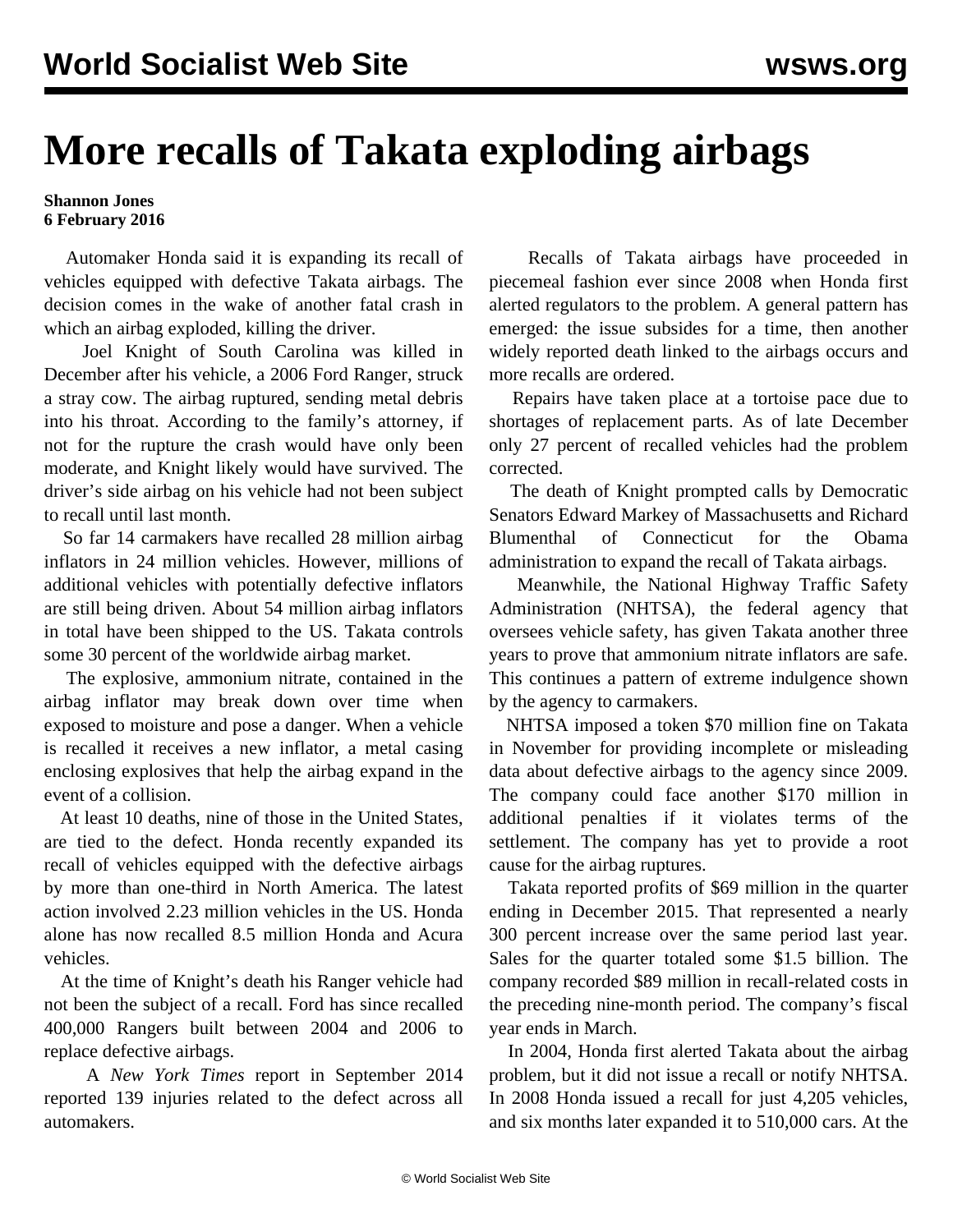## **More recalls of Takata exploding airbags**

## **Shannon Jones 6 February 2016**

 Automaker Honda said it is expanding its recall of vehicles equipped with defective Takata airbags. The decision comes in the wake of another fatal crash in which an airbag exploded, killing the driver.

 Joel Knight of South Carolina was killed in December after his vehicle, a 2006 Ford Ranger, struck a stray cow. The airbag ruptured, sending metal debris into his throat. According to the family's attorney, if not for the rupture the crash would have only been moderate, and Knight likely would have survived. The driver's side airbag on his vehicle had not been subject to recall until last month.

 So far 14 carmakers have recalled 28 million airbag inflators in 24 million vehicles. However, millions of additional vehicles with potentially defective inflators are still being driven. About 54 million airbag inflators in total have been shipped to the US. Takata controls some 30 percent of the worldwide airbag market.

 The explosive, ammonium nitrate, contained in the airbag inflator may break down over time when exposed to moisture and pose a danger. When a vehicle is recalled it receives a new inflator, a metal casing enclosing explosives that help the airbag expand in the event of a collision.

 At least 10 deaths, nine of those in the United States, are tied to the defect. Honda recently expanded its recall of vehicles equipped with the defective airbags by more than one-third in North America. The latest action involved 2.23 million vehicles in the US. Honda alone has now recalled 8.5 million Honda and Acura vehicles.

 At the time of Knight's death his Ranger vehicle had not been the subject of a recall. Ford has since recalled 400,000 Rangers built between 2004 and 2006 to replace defective airbags.

 A *New York Times* report in September 2014 reported 139 injuries related to the defect across all automakers.

 Recalls of Takata airbags have proceeded in piecemeal fashion ever since 2008 when Honda first alerted regulators to the problem. A general pattern has emerged: the issue subsides for a time, then another widely reported death linked to the airbags occurs and more recalls are ordered.

 Repairs have taken place at a tortoise pace due to shortages of replacement parts. As of late December only 27 percent of recalled vehicles had the problem corrected.

 The death of Knight prompted calls by Democratic Senators Edward Markey of Massachusetts and Richard Blumenthal of Connecticut for the Obama administration to expand the recall of Takata airbags.

 Meanwhile, the National Highway Traffic Safety Administration (NHTSA), the federal agency that oversees vehicle safety, has given Takata another three years to prove that ammonium nitrate inflators are safe. This continues a pattern of extreme indulgence shown by the agency to carmakers.

 NHTSA imposed a token \$70 million fine on Takata in November for providing incomplete or misleading data about defective airbags to the agency since 2009. The company could face another \$170 million in additional penalties if it violates terms of the settlement. The company has yet to provide a root cause for the airbag ruptures.

 Takata reported profits of \$69 million in the quarter ending in December 2015. That represented a nearly 300 percent increase over the same period last year. Sales for the quarter totaled some \$1.5 billion. The company recorded \$89 million in recall-related costs in the preceding nine-month period. The company's fiscal year ends in March.

 In 2004, Honda first alerted Takata about the airbag problem, but it did not issue a recall or notify NHTSA. In 2008 Honda issued a recall for just 4,205 vehicles, and six months later expanded it to 510,000 cars. At the